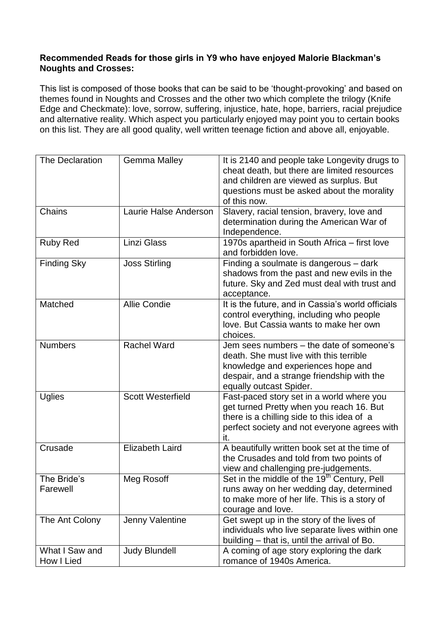## **Recommended Reads for those girls in Y9 who have enjoyed Malorie Blackman's Noughts and Crosses:**

This list is composed of those books that can be said to be 'thought-provoking' and based on themes found in Noughts and Crosses and the other two which complete the trilogy (Knife Edge and Checkmate): love, sorrow, suffering, injustice, hate, hope, barriers, racial prejudice and alternative reality. Which aspect you particularly enjoyed may point you to certain books on this list. They are all good quality, well written teenage fiction and above all, enjoyable.

| The Declaration    | <b>Gemma Malley</b>      | It is 2140 and people take Longevity drugs to                                                       |
|--------------------|--------------------------|-----------------------------------------------------------------------------------------------------|
|                    |                          | cheat death, but there are limited resources                                                        |
|                    |                          | and children are viewed as surplus. But                                                             |
|                    |                          | questions must be asked about the morality                                                          |
|                    |                          | of this now.                                                                                        |
| Chains             | Laurie Halse Anderson    | Slavery, racial tension, bravery, love and<br>determination during the American War of              |
|                    |                          | Independence.                                                                                       |
| <b>Ruby Red</b>    | Linzi Glass              | 1970s apartheid in South Africa - first love                                                        |
|                    |                          | and forbidden love.                                                                                 |
| <b>Finding Sky</b> | <b>Joss Stirling</b>     | Finding a soulmate is dangerous - dark                                                              |
|                    |                          | shadows from the past and new evils in the                                                          |
|                    |                          | future. Sky and Zed must deal with trust and                                                        |
|                    |                          | acceptance.                                                                                         |
| Matched            | <b>Allie Condie</b>      | It is the future, and in Cassia's world officials                                                   |
|                    |                          | control everything, including who people                                                            |
|                    |                          | love. But Cassia wants to make her own                                                              |
| <b>Numbers</b>     | <b>Rachel Ward</b>       | choices.<br>Jem sees numbers – the date of someone's                                                |
|                    |                          | death. She must live with this terrible                                                             |
|                    |                          | knowledge and experiences hope and                                                                  |
|                    |                          | despair, and a strange friendship with the                                                          |
|                    |                          | equally outcast Spider.                                                                             |
| <b>Uglies</b>      | <b>Scott Westerfield</b> | Fast-paced story set in a world where you                                                           |
|                    |                          | get turned Pretty when you reach 16. But                                                            |
|                    |                          | there is a chilling side to this idea of a                                                          |
|                    |                          | perfect society and not everyone agrees with                                                        |
|                    |                          | it.                                                                                                 |
| Crusade            | <b>Elizabeth Laird</b>   | A beautifully written book set at the time of                                                       |
|                    |                          | the Crusades and told from two points of                                                            |
| The Bride's        | Meg Rosoff               | view and challenging pre-judgements.                                                                |
| Farewell           |                          | Set in the middle of the 19 <sup>th</sup> Century, Pell<br>runs away on her wedding day, determined |
|                    |                          | to make more of her life. This is a story of                                                        |
|                    |                          | courage and love.                                                                                   |
| The Ant Colony     | Jenny Valentine          | Get swept up in the story of the lives of                                                           |
|                    |                          | individuals who live separate lives within one                                                      |
|                    |                          | building - that is, until the arrival of Bo.                                                        |
| What I Saw and     | <b>Judy Blundell</b>     | A coming of age story exploring the dark                                                            |
| How I Lied         |                          | romance of 1940s America.                                                                           |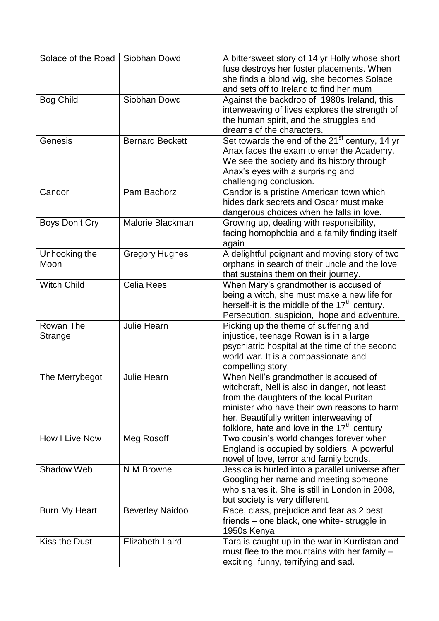| Solace of the Road    | Siobhan Dowd           | A bittersweet story of 14 yr Holly whose short<br>fuse destroys her foster placements. When<br>she finds a blond wig, she becomes Solace<br>and sets off to Ireland to find her mum                                                                                           |
|-----------------------|------------------------|-------------------------------------------------------------------------------------------------------------------------------------------------------------------------------------------------------------------------------------------------------------------------------|
| <b>Bog Child</b>      | Siobhan Dowd           | Against the backdrop of 1980s Ireland, this<br>interweaving of lives explores the strength of<br>the human spirit, and the struggles and<br>dreams of the characters.                                                                                                         |
| Genesis               | <b>Bernard Beckett</b> | Set towards the end of the 21 <sup>st</sup> century, 14 yr<br>Anax faces the exam to enter the Academy.<br>We see the society and its history through<br>Anax's eyes with a surprising and<br>challenging conclusion.                                                         |
| Candor                | Pam Bachorz            | Candor is a pristine American town which<br>hides dark secrets and Oscar must make<br>dangerous choices when he falls in love.                                                                                                                                                |
| Boys Don't Cry        | Malorie Blackman       | Growing up, dealing with responsibility,<br>facing homophobia and a family finding itself<br>again                                                                                                                                                                            |
| Unhooking the<br>Moon | <b>Gregory Hughes</b>  | A delightful poignant and moving story of two<br>orphans in search of their uncle and the love<br>that sustains them on their journey.                                                                                                                                        |
| <b>Witch Child</b>    | <b>Celia Rees</b>      | When Mary's grandmother is accused of<br>being a witch, she must make a new life for<br>herself-it is the middle of the 17 <sup>th</sup> century.<br>Persecution, suspicion, hope and adventure.                                                                              |
| Rowan The<br>Strange  | <b>Julie Hearn</b>     | Picking up the theme of suffering and<br>injustice, teenage Rowan is in a large<br>psychiatric hospital at the time of the second<br>world war. It is a compassionate and<br>compelling story.                                                                                |
| The Merrybegot        | <b>Julie Hearn</b>     | When Nell's grandmother is accused of<br>witchcraft, Nell is also in danger, not least<br>from the daughters of the local Puritan<br>minister who have their own reasons to harm<br>her. Beautifully written interweaving of<br>folklore, hate and love in the $17th$ century |
| How I Live Now        | Meg Rosoff             | Two cousin's world changes forever when<br>England is occupied by soldiers. A powerful<br>novel of love, terror and family bonds.                                                                                                                                             |
| Shadow Web            | N M Browne             | Jessica is hurled into a parallel universe after<br>Googling her name and meeting someone<br>who shares it. She is still in London in 2008,<br>but society is very different.                                                                                                 |
| Burn My Heart         | <b>Beverley Naidoo</b> | Race, class, prejudice and fear as 2 best<br>friends – one black, one white-struggle in<br>1950s Kenya                                                                                                                                                                        |
| Kiss the Dust         | <b>Elizabeth Laird</b> | Tara is caught up in the war in Kurdistan and<br>must flee to the mountains with her family -<br>exciting, funny, terrifying and sad.                                                                                                                                         |